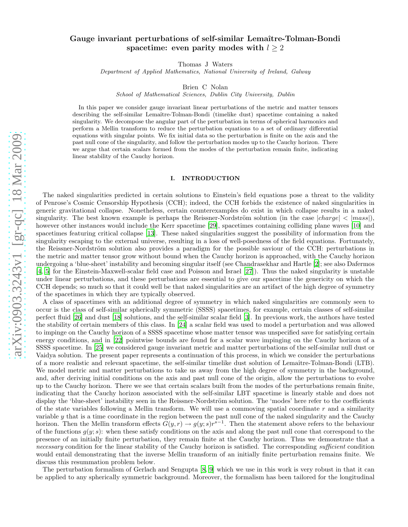# Gauge invariant perturbations of self-similar Lemaître-Tolman-Bondi spacetime: even parity modes with  $l \geq 2$

Thomas J Waters

Department of Applied Mathematics, National University of Ireland, Galway

Brien C Nolan

School of Mathematical Sciences, Dublin City University, Dublin

In this paper we consider gauge invariant linear perturbations of the metric and matter tensors describing the self-similar Lemaître-Tolman-Bondi (timelike dust) spacetime containing a naked singularity. We decompose the angular part of the perturbation in terms of spherical harmonics and perform a Mellin transform to reduce the perturbation equations to a set of ordinary differential equations with singular points. We fix initial data so the perturbation is finite on the axis and the past null cone of the singularity, and follow the perturbation modes up to the Cauchy horizon. There we argue that certain scalars formed from the modes of the perturbation remain finite, indicating linear stability of the Cauchy horizon.

#### I. INTRODUCTION

The naked singularities predicted in certain solutions to Einstein's field equations pose a threat to the validity of Penrose's Cosmic Censorship Hypothesis (CCH); indeed, the CCH forbids the existence of naked singularities in generic gravitational collapse. Nonetheless, certain counterexamples do exist in which collapse results in a naked singularity. The best known example is perhaps the Reissner-Nordström solution (in the case  $|charge| < |mass|$ ), however other instances would include the Kerr spacetime [\[29\]](#page-15-0), spacetimes containing colliding plane waves [\[10\]](#page-15-1) and spacetimes featuring critical collapse [\[13](#page-15-2)]. These naked singularities suggest the possibility of information from the singularity escaping to the external universe, resulting in a loss of well-posedness of the field equations. Fortunately, the Reissner-Nordström solution also provides a paradigm for the possible saviour of the CCH: perturbations in the metric and matter tensor grow without bound when the Cauchy horizon is approached, with the Cauchy horizon undergoing a 'blue-sheet' instability and becoming singular itself (see Chandrasekhar and Hartle [\[2\]](#page-15-3); see also Dafermos [\[4,](#page-15-4) [5](#page-15-5)] for the Einstein-Maxwell-scalar field case and Poisson and Israel [\[27\]](#page-15-6)). Thus the naked singularity is unstable under linear perturbations, and these perturbations are essential to give our spacetime the genericity on which the CCH depends; so much so that it could well be that naked singularities are an artifact of the high degree of symmetry of the spacetimes in which they are typically observed.

A class of spacetimes with an additional degree of symmetry in which naked singularities are commonly seen to occur is the class of self-similar spherically symmetric (SSSS) spacetimes, for example, certain classes of self-similar perfect fluid [\[26\]](#page-15-7) and dust [\[18\]](#page-15-8) solutions, and the self-similar scalar field [\[3](#page-15-9)]. In previous work, the authors have teste d the stability of certain members of this class. In [\[24\]](#page-15-10) a scalar field was used to model a perturbation and was allowed to impinge on the Cauchy horizon of a SSSS spacetime whose matter tensor was unspecified save for satisfying certain energy conditions, and in [\[22\]](#page-15-11) pointwise bounds are found for a scalar wave impinging on the Cauchy horizon of a SSSS spacetime. In [\[25\]](#page-15-12) we considered gauge invariant metric and matter perturbations of the self-similar null dust or Vaidya solution. The present paper represents a continuation of this process, in which we consider the perturbations of a more realistic and relevant spacetime, the self-similar timelike dust solution of Lemaˆıtre-Tolman-Bondi (LTB). We model metric and matter perturbations to take us away from the high degree of symmetry in the background, and, after deriving initial conditions on the axis and past null cone of the origin, allow the perturbations to evolve up to the Cauchy horizon. There we see that certain scalars built from the modes of the perturbations remain finite, indicating that the Cauchy horizon associated with the self-similar LBT spacetime is linearly stable and does not display the 'blue-sheet' instability seen in the Reissner-Nordström solution. The 'modes' here refer to the coefficients of the state variables following a Mellin transform. We will use a commoving spatial coordinate  $r$  and a similarity variable y that is a time coordinate in the region between the past null cone of the naked singularity and the Cauchy horizon. Then the Mellin transform effects  $G(y, r) \to g(y, s)r^{s-1}$ . Then the statement above refers to the behaviour of the functions  $g(y; s)$ : when these satisfy conditions on the axis and along the past null cone that correspond to the presence of an initially finite perturbation, they remain finite at the Cauchy horizon. Thus we demonstrate that a necessary condition for the linear stability of the Cauchy horizon is satisfied. The corresponding sufficient condition would entail demonstrating that the inverse Mellin transform of an initially finite perturbation remains finite. We discuss this resummation problem below.

The perturbation formalism of Gerlach and Sengupta [\[8](#page-15-13), [9](#page-15-14)] which we use in this work is very robust in that it can be applied to any spherically symmetric background. Moreover, the formalism has been tailored for the longitudinal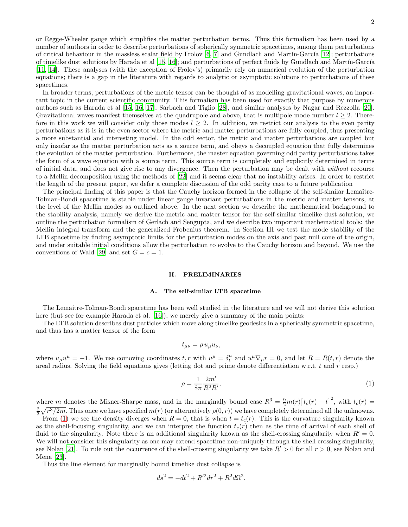or Regge-Wheeler gauge which simplifies the matter perturbation terms. Thus this formalism has been used by a number of authors in order to describe perturbations of spherically symmetric spacetimes, among them perturbations of critical behaviour in the massless scalar field by Frolov  $[6, 7]$  $[6, 7]$  and Gundlach and Martín-García  $[12]$ ; perturbations of timelike dust solutions by Harada et al [\[15,](#page-15-18) [16\]](#page-15-19); and perturbations of perfect fluids by Gundlach and Martín-García [\[11,](#page-15-20) [14\]](#page-15-21). These analyses (with the exception of Frolov's) primarily rely on numerical evolution of the perturbation equations; there is a gap in the literature with regards to analytic or asymptotic solutions to perturbations of these spacetimes.

In broader terms, perturbations of the metric tensor can be thought of as modelling gravitational waves, an important topic in the current scientific community. This formalism has been used for exactly that purpose by numerous authors such as Harada et al [\[15](#page-15-18), [16,](#page-15-19) [17](#page-15-22)], Sarbach and Tiglio [\[28](#page-15-23)], and similar analyses by Nagar and Rezzolla [\[20\]](#page-15-24). Gravitational waves manifest themselves at the quadrupole and above, that is multipole mode number  $l \geq 2$ . Therefore in this work we will consider only those modes  $l \geq 2$ . In addition, we restrict our analysis to the even parity perturbations as it is in the even sector where the metric and matter perturbations are fully coupled, thus presenting a more substantial and interesting model. In the odd sector, the metric and matter perturbations are coupled but only insofar as the matter perturbation acts as a source term, and obeys a decoupled equation that fully determines the evolution of the matter perturbation. Furthermore, the master equation governing odd parity perturbations takes the form of a wave equation with a source term. This source term is completely and explicitly determined in terms of initial data, and does not give rise to any divergence. Then the perturbation may be dealt with without recourse to a Mellin decomposition using the methods of [\[22\]](#page-15-11) and it seems clear that no instability arises. In order to restrict the length of the present paper, we defer a complete discussion of the odd parity case to a future publication

The principal finding of this paper is that the Cauchy horizon formed in the collapse of the self-similar Lemaître-Tolman-Bondi spacetime is stable under linear gauge invariant perturbations in the metric and matter tensors, at the level of the Mellin modes as outlined above. In the next section we describe the mathematical background to the stability analysis, namely we derive the metric and matter tensor for the self-similar timelike dust solution, we outline the perturbation formalism of Gerlach and Sengupta, and we describe two important mathematical tools: the Mellin integral transform and the generalized Frobenius theorem. In Section III we test the mode stability of the LTB spacetime by finding asymptotic limits for the perturbation modes on the axis and past null cone of the origin, and under suitable initial conditions allow the perturbation to evolve to the Cauchy horizon and beyond. We use the conventions of Wald [\[29\]](#page-15-0) and set  $G = c = 1$ .

# II. PRELIMINARIES

## A. The self-similar LTB spacetime

The Lemaître-Tolman-Bondi spacetime has been well studied in the literature and we will not derive this solution here (but see for example Harada et al. [\[16\]](#page-15-19)), we merely give a summary of the main points:

The LTB solution describes dust particles which move along timelike geodesics in a spherically symmetric spacetime, and thus has a matter tensor of the form

$$
t_{\mu\nu} = \rho u_{\mu} u_{\nu},
$$

where  $u_{\mu}u^{\mu} = -1$ . We use comoving coordinates t, r with  $u^{\mu} = \delta_t^{\mu}$  and  $u^{\mu}\nabla_{\mu}r = 0$ , and let  $R = R(t,r)$  denote the areal radius. Solving the field equations gives (letting dot and prime denote differentiation w.r.t.  $t$  and  $r$  resp.)

$$
\rho = \frac{1}{8\pi} \frac{2m'}{R^2 R'},\tag{1}
$$

where m denotes the Misner-Sharpe mass, and in the marginally bound case  $R^3 = \frac{9}{2}m(r)[t_c(r) - t]^2$ , with  $t_c(r) =$  $\frac{2}{3}\sqrt{r^3/2m}$ . Thus once we have specified  $m(r)$  (or alternatively  $\rho(0,r)$ ) we have completely determined all the unknowns.

From [\(1\)](#page-4-0) we see the density diverges when  $R = 0$ , that is when  $t = t_c(r)$ . This is the curvature singularity known as the shell-focusing singularity, and we can interpret the function  $t_c(r)$  then as the time of arrival of each shell of fluid to the singularity. Note there is an additional singularity known as the shell-crossing singularity when  $R' = 0$ . We will not consider this singularity as one may extend spacetime non-uniquely through the shell crossing singularity, see Nolan [\[21](#page-15-25)]. To rule out the occurrence of the shell-crossing singularity we take  $R' > 0$  for all  $r > 0$ , see Nolan and Mena [\[23](#page-15-26)].

Thus the line element for marginally bound timelike dust collapse is

$$
ds^2 = -dt^2 + R'^2 dr^2 + R^2 d\Omega^2.
$$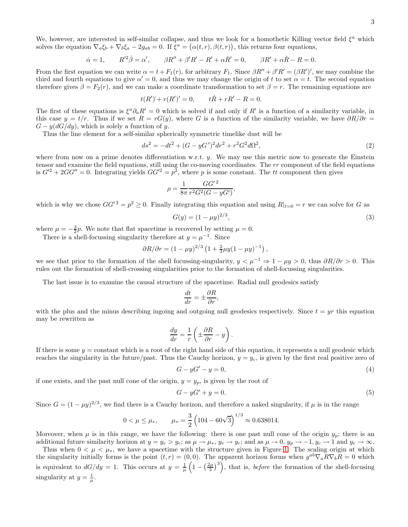We, however, are interested in self-similar collapse, and thus we look for a homothetic Killing vector field  $\xi^a$  which solves the equation  $\nabla_a \xi_b + \nabla_b \xi_a - 2g_{ab} = 0$ . If  $\xi^a = (\alpha(t, r), \beta(t, r))$ , this returns four equations,

$$
\dot{\alpha} = 1, \qquad R'^2 \dot{\beta} = \alpha', \qquad \beta R'' + \beta' R' - R' + \alpha \dot{R}' = 0, \qquad \beta R' + \alpha \dot{R} - R = 0.
$$

From the first equation we can write  $\alpha = t + F_1(r)$ , for arbitrary  $F_1$ . Since  $\beta R'' + \beta' R' = (\beta R')'$ , we may combine the third and fourth equations to give  $\alpha' = 0$ , and thus we may change the origin of t to set  $\alpha = t$ . The second equation therefore gives  $\beta = F_2(r)$ , and we can make a coordinate transformation to set  $\beta = r$ . The remaining equations are

$$
t(R') + r(R')' = 0,
$$
  $t\dot{R} + rR' - R = 0.$ 

The first of these equations is  $\xi^a \partial_a R' = 0$  which is solved if and only if R' is a function of a similarity variable, in this case  $y = t/r$ . Thus if we set  $R = rG(y)$ , where G is a function of the similarity variable, we have  $\partial R/\partial r =$  $G - y(dG/dy)$ , which is solely a function of y.

Thus the line element for a self-similar spherically symmetric timelike dust will be

$$
ds^{2} = -dt^{2} + (G - yG')^{2}dr^{2} + r^{2}G^{2}d\Omega^{2},
$$
\n(2)

where from now on a prime denotes differentiation w.r.t. y. We may use this metric now to generate the Einstein tensor and examine the field equations, still using the co-moving coordinates. The rr component of the field equations is  $G'^2 + 2GG'' = 0$ . Integrating yields  $GG'^2 = p^2$ , where p is some constant. The tt component then gives

$$
\rho = \frac{1}{8\pi} \frac{GG'^2}{r^2 G^2 (G - yG')},
$$

which is why we chose  $GG'^2 = p^2 \ge 0$ . Finally integrating this equation and using  $R|_{t=0} = r$  we can solve for G as

$$
G(y) = (1 - \mu y)^{2/3},\tag{3}
$$

where  $\mu = -\frac{3}{2}p$ . We note that flat spacetime is recovered by setting  $\mu = 0$ .

There is a shell-focussing singularity therefore at  $y = \mu^{-1}$ . Since

$$
\frac{\partial R}{\partial r} = (1 - \mu y)^{2/3} \left( 1 + \frac{2}{3} \mu y (1 - \mu y)^{-1} \right),
$$

we see that prior to the formation of the shell focussing-singularity,  $y < \mu^{-1} \Rightarrow 1 - \mu y > 0$ , thus  $\partial R/\partial r > 0$ . This rules out the formation of shell-crossing singularities prior to the formation of shell-focussing singularities.

The last issue is to examine the causal structure of the spacetime. Radial null geodesics satisfy

$$
\frac{dt}{dr} = \pm \frac{\partial R}{\partial r},
$$

with the plus and the minus describing ingoing and outgoing null geodesics respectively. Since  $t = yr$  this equation may be rewritten as

$$
\frac{dy}{dr} = \frac{1}{r} \left( \pm \frac{\partial R}{\partial r} - y \right).
$$

If there is some  $y =$  constant which is a root of the right hand side of this equation, it represents a null geodesic which reaches the singularity in the future/past. Thus the Cauchy horizon,  $y = y_c$ , is given by the first real positive zero of

$$
G - yG' - y = 0,\t\t(4)
$$

if one exists, and the past null cone of the origin,  $y = y_p$ , is given by the root of

$$
G - yG' + y = 0.\t\t(5)
$$

Since  $G = (1 - \mu y)^{2/3}$ , we find there is a Cauchy horizon, and therefore a naked singularity, if  $\mu$  is in the range

$$
0 < \mu \le \mu_*, \qquad \mu_* = \frac{3}{2} \left( 104 - 60\sqrt{3} \right)^{1/3} \approx 0.638014.
$$

Moreover, when  $\mu$  is in this range, we have the following: there is one past null cone of the origin  $y_p$ ; there is an additional future similarity horizon at  $y = y_e > y_c$ ; as  $\mu \to \mu_*$ ,  $y_e \to y_c$ ; and as  $\mu \to 0$ ,  $y_p \to -1$ ,  $y_c \to 1$  and  $y_e \to \infty$ .

Thus when  $0 < \mu < \mu_*$ , we have a spacetime with the structure given in Figure [1.](#page-3-0) The scaling origin at which the singularity initially forms is the point  $(t, r) = (0, 0)$ . The apparent horizon forms when  $g^{ab}\nabla_a R \nabla_b R = 0$  which is equivalent to  $dG/dy = 1$ . This occurs at  $y = \frac{1}{\mu} \left(1 - \left(\frac{2\mu}{3}\right)^3\right)$ , that is, before the formation of the shell-focusing singularity at  $y = \frac{1}{\mu}$ .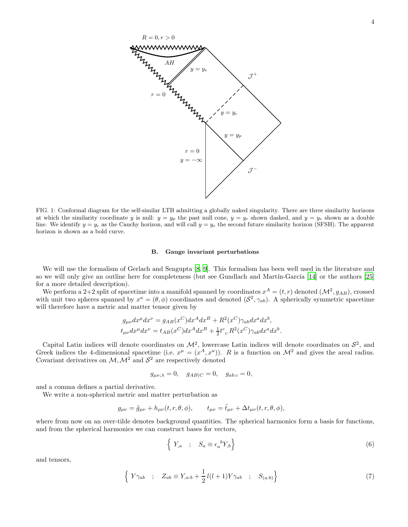

<span id="page-3-0"></span>FIG. 1: Conformal diagram for the self-similar LTB admitting a globally naked singularity. There are three similarity horizons at which the similarity coordinate y is null:  $y = y_p$  the past null cone,  $y = y_c$  shown dashed, and  $y = y_e$  shown as a double line. We identify  $y = y_c$  as the Cauchy horizon, and will call  $y = y_e$  the second future similarity horizon (SFSH). The apparent horizon is shown as a bold curve.

#### B. Gauge invariant perturbations

We will use the formalism of Gerlach and Sengupta [\[8,](#page-15-13) [9\]](#page-15-14). This formalism has been well used in the literature and so we will only give an outline here for completeness (but see Gundlach and Martín-García [\[14\]](#page-15-21) or the authors [\[25](#page-15-12)] for a more detailed description).

We perform a 2+2 split of spacetime into a manifold spanned by coordinates  $x^A = (t, r)$  denoted  $(\mathcal{M}^2, g_{AB})$ , crossed with unit two spheres spanned by  $x^a = (\theta, \phi)$  coordinates and denoted  $(S^2, \gamma_{ab})$ . A spherically symmetric spacetime will therefore have a metric and matter tensor given by

$$
g_{\mu\nu}dx^{\mu}dx^{\nu} = g_{AB}(x^C)dx^A dx^B + R^2(x^C)\gamma_{ab}dx^a dx^b,
$$
  
\n
$$
t_{\mu\nu}dx^{\mu}dx^{\nu} = t_{AB}(x^C)dx^A dx^B + \frac{1}{2}t^c{}_c R^2(x^C)\gamma_{ab}dx^a dx^b.
$$

Capital Latin indices will denote coordinates on  $\mathcal{M}^2$ , lowercase Latin indices will denote coordinates on  $\mathcal{S}^2$ , and Greek indices the 4-dimensional spacetime (i.e.  $x^{\mu} = (x^{A}, x^{a})$ ). R is a function on  $\mathcal{M}^{2}$  and gives the areal radius. Covariant derivatives on  $\mathcal{M}, \mathcal{M}^2$  and  $\mathcal{S}^2$  are respectively denoted

$$
g_{\mu\nu;\lambda} = 0, \quad g_{AB|C} = 0, \quad g_{abc} = 0,
$$

and a comma defines a partial derivative.

We write a non-spherical metric and matter perturbation as

$$
g_{\mu\nu} = \tilde{g}_{\mu\nu} + h_{\mu\nu}(t, r, \theta, \phi), \qquad t_{\mu\nu} = \tilde{t}_{\mu\nu} + \Delta t_{\mu\nu}(t, r, \theta, \phi),
$$

where from now on an over-tilde denotes background quantities. The spherical harmonics form a basis for functions, and from the spherical harmonics we can construct bases for vectors,

$$
\left\{ Y_{,a} \quad ; \quad S_a \equiv \epsilon_a{}^b Y_{,b} \right\} \tag{6}
$$

and tensors,

$$
\left\{ Y\gamma_{ab} \quad ; \quad Z_{ab} \equiv Y_{,a:b} + \frac{1}{2}l(l+1)Y\gamma_{ab} \quad ; \quad S_{(a:b)} \right\} \tag{7}
$$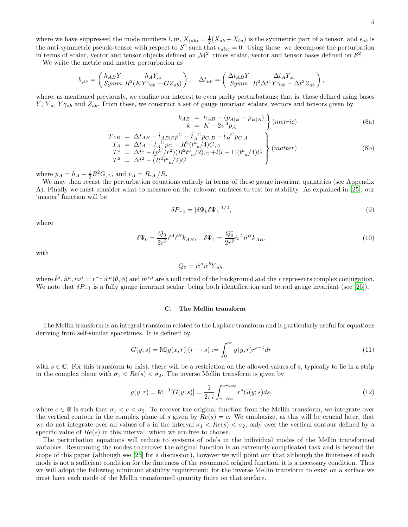where we have suppressed the mode numbers  $l, m, X_{(ab)} = \frac{1}{2}(X_{ab} + X_{ba})$  is the symmetric part of a tensor, and  $\epsilon_{ab}$  is the anti-symmetric pseudo-tensor with respect to  $S^2$  such that  $\epsilon_{abc} = 0$ . Using these, we decompose the perturbation in terms of scalar, vector and tensor objects defined on  $\mathcal{M}^2$ , times scalar, vector and tensor bases defined on  $\mathcal{S}^2$ .

We write the metric and matter perturbation as

$$
h_{\mu\nu}=\left(\begin{array}{cc} h_{AB}Y & h_AY_{,a}\\ Symm & R^2(KY\gamma_{ab}+GZ_{ab}) \end{array}\right), \quad \Delta t_{\mu\nu}=\left(\begin{array}{cc} \Delta t_{AB}Y & \Delta t_AY_{,a}\\ Symm & R^2\Delta t^1Y\gamma_{ab}+\Delta t^2Z_{ab} \end{array}\right),
$$

where, as mentioned previously, we confine our interest to even parity perturbations; that is, those defined using bases  $Y, Y_a, Y_{\gamma a b}$  and  $Z_{ab}$ . From these, we construct a set of gauge invariant scalars, vectors and tensors given by

<span id="page-4-0"></span>
$$
k_{AB} = h_{AB} - (p_{A|B} + p_{B|A})
$$
  
\n
$$
k = K - 2v^{A}p_{A}
$$
 (8a)

$$
\begin{array}{lcl}\nT_{AB} &=& \Delta t_{AB} - \tilde{t}_{AB|C} p^C - \tilde{t}_A{}^C p_{C|B} - \tilde{t}_B{}^C p_{C|A} \\
T_A &=& \Delta t_A - \tilde{t}_A{}^C p_C - R^2 (\tilde{t}^a{}_a / 4) G_{,A} \\
T^1 &=& \Delta t^1 - (p^C/r^2)(R^2 \tilde{t}^a{}_a / 2)_{,C} + l(l+1)(\tilde{t}^a{}_a / 4) G \\
T^2 &=& \Delta t^2 - (R^2 \tilde{t}^a{}_a / 2) G\n\end{array} \tag{8b}
$$

where  $p_A = h_A - \frac{1}{2}R^2G_A$ , and  $v_A = R_{,A}/R$ .

We may then recast the perturbation equations entirely in terms of these gauge invariant quantities (see Appendix A). Finally we must consider what to measure on the relevant surfaces to test for stability. As explained in [\[25\]](#page-15-12), our 'master' function will be

$$
\delta P_{-1} = |\delta \Psi_0 \delta \Psi_4|^{1/2},\tag{9}
$$

where

$$
\delta\Psi_0 = \frac{Q_0}{2r^2}\tilde{\ell}^A\tilde{\ell}^B k_{AB}, \quad \delta\Psi_4 = \frac{Q_0^*}{2r^2}\tilde{n}^A\tilde{n}^B k_{AB},\tag{10}
$$

with

$$
Q_0 = \tilde{w}^a \tilde{w}^b Y_{:ab},
$$

where  $\tilde{\ell}^{\mu}, \tilde{n}^{\mu}, \tilde{m}^{\mu} = r^{-1} \tilde{w}^{\mu}(\theta, \phi)$  and  $\tilde{m}^{*\mu}$  are a null tetrad of the background and the  $*$  represents complex conjugation. We note that  $\delta P_{-1}$  is a fully gauge invariant scalar, being both identification and tetrad gauge invariant (see [\[25\]](#page-15-12)).

#### C. The Mellin transform

The Mellin transform is an integral transform related to the Laplace transform and is particularly useful for equations deriving from self-similar spacetimes. It is defined by

$$
G(y; s) = M[g(x, r)](r \to s) := \int_0^\infty g(y, r)r^{s-1} dr
$$
\n(11)

with  $s \in \mathbb{C}$ . For this transform to exist, there will be a restriction on the allowed values of s, typically to lie in a strip in the complex plane with  $\sigma_1 < Re(s) < \sigma_2$ . The inverse Mellin transform is given by

$$
g(y,r) = \mathbb{M}^{-1}[G(y;s)] = \frac{1}{2\pi i} \int_{c-i\infty}^{c+i\infty} r^s G(y;s)ds,
$$
\n(12)

where  $c \in \mathbb{R}$  is such that  $\sigma_1 < c < \sigma_2$ . To recover the original function from the Mellin transform, we integrate over the vertical contour in the complex plane of s given by  $Re(s) = c$ . We emphasize, as this will be crucial later, that we do not integrate over all values of s in the interval  $\sigma_1 < Re(s) < \sigma_2$ , only over the vertical contour defined by a specific value of  $Re(s)$  in this interval, which we are free to choose.

The perturbation equations will reduce to systems of ode's in the individual modes of the Mellin transformed variables. Resumming the modes to recover the original function is an extremely complicated task and is beyond the scope of this paper (although see [\[25\]](#page-15-12) for a discussion), however we will point out that although the finiteness of each mode is not a sufficient condition for the finiteness of the resummed original function, it is a necessary condition. Thus we will adopt the following minimum stability requirement: for the inverse Mellin transform to exist on a surface we must have each mode of the Mellin transformed quantity finite on that surface.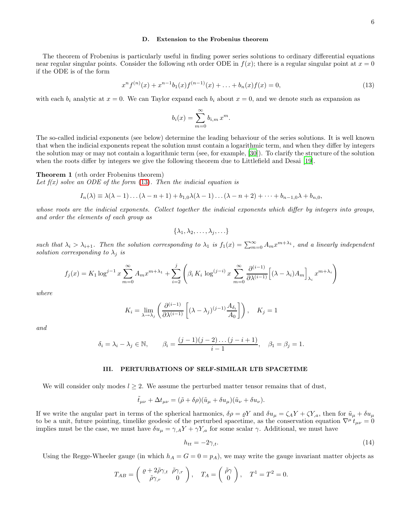# D. Extension to the Frobenius theorem

The theorem of Frobenius is particularly useful in finding power series solutions to ordinary differential equations near regular singular points. Consider the following nth order ODE in  $f(x)$ ; there is a regular singular point at  $x = 0$ if the ODE is of the form

<span id="page-5-0"></span>
$$
x^{n} f^{(n)}(x) + x^{n-1} b_{1}(x) f^{(n-1)}(x) + \ldots + b_{n}(x) f(x) = 0,
$$
\n(13)

with each  $b_i$  analytic at  $x = 0$ . We can Taylor expand each  $b_i$  about  $x = 0$ , and we denote such as expansion as

$$
b_i(x) = \sum_{m=0}^{\infty} b_{i,m} x^m.
$$

The so-called indicial exponents (see below) determine the leading behaviour of the series solutions. It is well known that when the indicial exponents repeat the solution must contain a logarithmic term, and when they differ by integers the solution may or may not contain a logarithmic term (see, for example, [\[30](#page-15-27)]). To clarify the structure of the solution when the roots differ by integers we give the following theorem due to Littlefield and Desai [\[19\]](#page-15-28).

## <span id="page-5-2"></span>Theorem 1 (nth order Frobenius theorem)

Let  $f(x)$  solve an ODE of the form [\(13\)](#page-5-0). Then the indicial equation is

$$
I_n(\lambda) \equiv \lambda(\lambda - 1) \ldots (\lambda - n + 1) + b_{1,0}\lambda(\lambda - 1) \ldots (\lambda - n + 2) + \cdots + b_{n-1,0}\lambda + b_{n,0},
$$

whose roots are the indicial exponents. Collect together the indicial exponents which differ by integers into groups, and order the elements of each group as

$$
\{\lambda_1, \lambda_2, \ldots, \lambda_j, \ldots\}
$$

such that  $\lambda_i > \lambda_{i+1}$ . Then the solution corresponding to  $\lambda_1$  is  $f_1(x) = \sum_{m=0}^{\infty} A_m x^{m+\lambda_1}$ , and a linearly independent solution corresponding to  $\lambda_j$  is

$$
f_j(x) = K_1 \log^{j-1} x \sum_{m=0}^{\infty} A_m x^{m+\lambda_1} + \sum_{i=2}^j \left( \beta_i K_i \log^{(j-i)} x \sum_{m=0}^{\infty} \frac{\partial^{(i-1)}}{\partial \lambda^{(i-1)}} \left[ (\lambda - \lambda_i) A_m \right]_{\lambda_i} x^{m+\lambda_i} \right)
$$

where

$$
K_i = \lim_{\lambda \to \lambda_j} \left( \frac{\partial^{(i-1)}}{\partial \lambda^{(i-1)}} \left[ (\lambda - \lambda_j)^{(j-1)} \frac{A_{\delta_i}}{A_0} \right] \right), \quad K_j = 1
$$

and

$$
\delta_i = \lambda_i - \lambda_j \in \mathbb{N}, \qquad \beta_i = \frac{(j-1)(j-2)\dots(j-i+1)}{i-1}, \quad \beta_1 = \beta_j = 1.
$$

## III. PERTURBATIONS OF SELF-SIMILAR LTB SPACETIME

We will consider only modes  $l \geq 2$ . We assume the perturbed matter tensor remains that of dust,

$$
\tilde{t}_{\mu\nu} + \Delta t_{\mu\nu} = (\tilde{\rho} + \delta\rho)(\tilde{u}_{\mu} + \delta u_{\mu})(\tilde{u}_{\nu} + \delta u_{\nu}).
$$

If we write the angular part in terms of the spherical harmonics,  $\delta \rho = \rho Y$  and  $\delta u_{\mu} = \zeta_A Y + \zeta Y_a$ , then for  $\tilde{u}_{\mu} + \delta u_{\mu}$ to be a unit, future pointing, timelike geodesic of the perturbed spacetime, as the conservation equation  $\nabla^{\mu} t_{\mu\nu} = 0$ implies must be the case, we must have  $\delta u_{\mu} = \gamma_{,A} Y + \gamma Y_{,a}$  for some scalar  $\gamma$ . Additional, we must have

<span id="page-5-1"></span>
$$
h_{tt} = -2\gamma_{,t}.\tag{14}
$$

Using the Regge-Wheeler gauge (in which  $h_A = G = 0 = p_A$ ), we may write the gauge invariant matter objects as

$$
T_{AB} = \begin{pmatrix} \varrho + 2\tilde{\rho}\gamma_{,t} & \tilde{\rho}\gamma_{,r} \\ \tilde{\rho}\gamma_{,r} & 0 \end{pmatrix}, \quad T_A = \begin{pmatrix} \tilde{\rho}\gamma \\ 0 \end{pmatrix}, \quad T^1 = T^2 = 0.
$$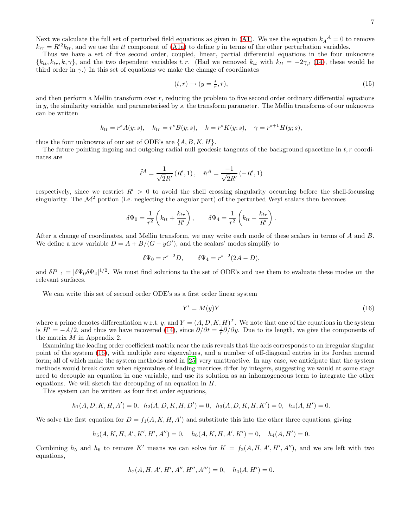Next we calculate the full set of perturbed field equations as given in [\(A1\)](#page-13-0). We use the equation  $k_A^A = 0$  to remove  $k_{rr} = R'^2 k_{tt}$ , and we use the tt component of [\(A1a\)](#page-13-0) to define  $\rho$  in terms of the other perturbation variables.

Thus we have a set of five second order, coupled, linear, partial differential equations in the four unknowns  ${k<sub>tt</sub>, k<sub>tr</sub>, k, \gamma}$ , and the two dependent variables t, r. (Had we removed  $k<sub>tt</sub>$  with  $k<sub>tt</sub> = -2\gamma_t$  [\(14\)](#page-5-1), these would be third order in  $\gamma$ .) In this set of equations we make the change of coordinates

$$
(t,r) \to (y = \frac{t}{r},r),\tag{15}
$$

and then perform a Mellin transform over r, reducing the problem to five second order ordinary differential equations in  $y$ , the similarity variable, and parameterised by  $s$ , the transform parameter. The Mellin transforms of our unknowns can be written

$$
k_{tt} = r^s A(y; s),
$$
  $k_{tr} = r^s B(y; s),$   $k = r^s K(y; s),$   $\gamma = r^{s+1} H(y; s),$ 

thus the four unknowns of our set of ODE's are  $\{A, B, K, H\}$ .

The future pointing ingoing and outgoing radial null geodesic tangents of the background spacetime in  $t, r$  coordinates are

$$
\tilde{\ell}^{A} = \frac{1}{\sqrt{2}R'}(R', 1), \quad \tilde{n}^{A} = \frac{-1}{\sqrt{2}R'}(-R', 1)
$$

respectively, since we restrict  $R' > 0$  to avoid the shell crossing singularity occurring before the shell-focussing singularity. The  $\mathcal{M}^2$  portion (i.e. neglecting the angular part) of the perturbed Weyl scalars then becomes

$$
\delta\Psi_0 = \frac{1}{r^2} \left( k_{tt} + \frac{k_{tr}}{R'} \right), \qquad \delta\Psi_4 = \frac{1}{r^2} \left( k_{tt} - \frac{k_{tr}}{R'} \right).
$$

After a change of coordinates, and Mellin transform, we may write each mode of these scalars in terms of A and B. We define a new variable  $D = A + B/(G - yG')$ , and the scalars' modes simplify to

$$
\delta\Psi_0 = r^{s-2}D
$$
,  $\delta\Psi_4 = r^{s-2}(2A - D)$ ,

and  $\delta P_{-1} = |\delta \Psi_0 \delta \Psi_4|^{1/2}$ . We must find solutions to the set of ODE's and use them to evaluate these modes on the relevant surfaces.

We can write this set of second order ODE's as a first order linear system

<span id="page-6-0"></span>
$$
Y' = M(y)Y\tag{16}
$$

where a prime denotes differentiation w.r.t. y, and  $Y = (A, D, K, H)^T$ . We note that one of the equations in the system is  $H' = -A/2$ , and thus we have recovered [\(14\)](#page-5-1), since  $\partial/\partial t = \frac{1}{r}\partial/\partial y$ . Due to its length, we give the components of the matrix M in Appendix 2.

Examining the leading order coefficient matrix near the axis reveals that the axis corresponds to an irregular singular point of the system [\(16\)](#page-6-0), with multiple zero eigenvalues, and a number of off-diagonal entries in its Jordan normal form; all of which make the system methods used in [\[25](#page-15-12)] very unattractive. In any case, we anticipate that the system methods would break down when eigenvalues of leading matrices differ by integers, suggesting we would at some stage need to decouple an equation in one variable, and use its solution as an inhomogeneous term to integrate the other equations. We will sketch the decoupling of an equation in  $H$ .

This system can be written as four first order equations,

$$
h_1(A, D, K, H, A') = 0, \quad h_2(A, D, K, H, D') = 0, \quad h_3(A, D, K, H, K') = 0, \quad h_4(A, H') = 0.
$$

We solve the first equation for  $D = f_1(A, K, H, A')$  and substitute this into the other three equations, giving

$$
h_5(A, K, H, A', K', H', A'') = 0, \quad h_6(A, K, H, A', K') = 0, \quad h_4(A, H') = 0.
$$

Combining  $h_5$  and  $h_6$  to remove K' means we can solve for  $K = f_2(A, H, A', H', A'')$ , and we are left with two equations,

$$
h_7(A, H, A', H', A'', H'', A''') = 0, \quad h_4(A, H') = 0.
$$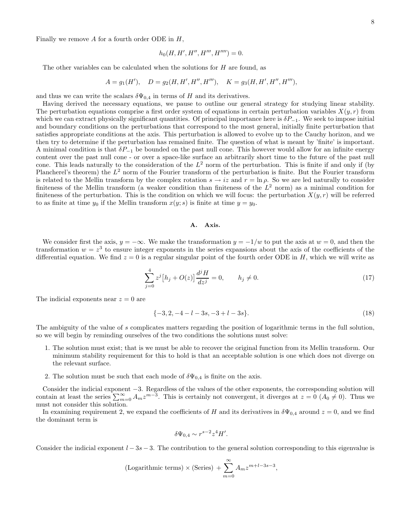Finally we remove  $A$  for a fourth order ODE in  $H$ ,

$$
h_0(H, H', H'', H''', H'''') = 0.
$$

The other variables can be calculated when the solutions for  $H$  are found, as

$$
A = g_1(H'), \quad D = g_2(H, H', H'', H'''), \quad K = g_3(H, H', H'', H'''),
$$

and thus we can write the scalars  $\delta\Psi_{0,4}$  in terms of H and its derivatives.

Having derived the necessary equations, we pause to outline our general strategy for studying linear stability. The perturbation equations comprise a first order system of equations in certain perturbation variables  $X(y, r)$  from which we can extract physically significant quantities. Of principal importance here is  $\delta P_{-1}$ . We seek to impose initial and boundary conditions on the perturbations that correspond to the most general, initially finite perturbation that satisfies appropriate conditions at the axis. This perturbation is allowed to evolve up to the Cauchy horizon, and we then try to determine if the perturbation has remained finite. The question of what is meant by 'finite' is important. A minimal condition is that  $\delta P_{-1}$  be bounded on the past null cone. This however would allow for an infinite energy content over the past null cone - or over a space-like surface an arbitrarily short time to the future of the past null cone. This leads naturally to the consideration of the  $L^2$  norm of the perturbation. This is finite if and only if (by Plancherel's theorem) the  $L^2$  norm of the Fourier transform of the perturbation is finite. But the Fourier transform is related to the Mellin transform by the complex rotation  $s \to iz$  and  $r = \ln \rho$ . So we are led naturally to consider finiteness of the Mellin transform (a weaker condition than finiteness of the  $L^2$  norm) as a minimal condition for finiteness of the perturbation. This is the condition on which we will focus: the perturbation  $X(y, r)$  will be referred to as finite at time  $y_0$  if the Mellin transform  $x(y; s)$  is finite at time  $y = y_0$ .

## A. Axis.

We consider first the axis,  $y = -\infty$ . We make the transformation  $y = -1/w$  to put the axis at  $w = 0$ , and then the transformation  $w = z<sup>3</sup>$  to ensure integer exponents in the series expansions about the axis of the coefficients of the differential equation. We find  $z = 0$  is a regular singular point of the fourth order ODE in H, which we will write as

$$
\sum_{j=0}^{4} z^{j} [h_{j} + O(z)] \frac{d^{j} H}{dz^{j}} = 0, \qquad h_{j} \neq 0.
$$
 (17)

The indicial exponents near  $z = 0$  are

$$
\{-3, 2, -4 - l - 3s, -3 + l - 3s\}.
$$
\n<sup>(18)</sup>

The ambiguity of the value of s complicates matters regarding the position of logarithmic terms in the full solution, so we will begin by reminding ourselves of the two conditions the solutions must solve:

- 1. The solution must exist; that is we must be able to recover the original function from its Mellin transform. Our minimum stability requirement for this to hold is that an acceptable solution is one which does not diverge on the relevant surface.
- 2. The solution must be such that each mode of  $\delta\Psi_{0,4}$  is finite on the axis.

Consider the indicial exponent −3. Regardless of the values of the other exponents, the corresponding solution will contain at least the series  $\sum_{m=0}^{\infty} A_m z^{m-3}$ . This is certainly not convergent, it diverges at  $z = 0$   $(A_0 \neq 0)$ . Thus we must not consider this solution.

In examining requirement 2, we expand the coefficients of H and its derivatives in  $\delta\Psi_{0,4}$  around  $z=0$ , and we find the dominant term is

$$
\delta\Psi_{0,4} \sim r^{s-2} z^4 H'.
$$

Consider the indicial exponent  $l - 3s - 3$ . The contribution to the general solution corresponding to this eigenvalue is

$$
(\text{Logarithmic terms}) \times (\text{Series}) + \sum_{m=0}^{\infty} A_m z^{m+l-3s-3},
$$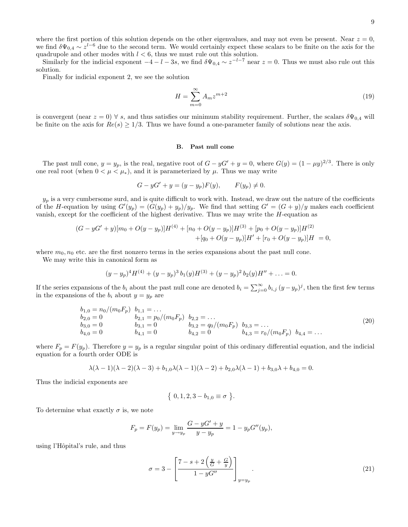where the first portion of this solution depends on the other eigenvalues, and may not even be present. Near  $z = 0$ , we find  $\delta\Psi_{0,4} \sim z^{l-6}$  due to the second term. We would certainly expect these scalars to be finite on the axis for the quadrupole and other modes with  $l < 6$ , thus we must rule out this solution.

Similarly for the indicial exponent  $-4 - l - 3s$ , we find  $\delta\Psi_{0,4} \sim z^{-l-7}$  near  $z = 0$ . Thus we must also rule out this solution.

Finally for indicial exponent 2, we see the solution

$$
H = \sum_{m=0}^{\infty} A_m z^{m+2}
$$
\n(19)

is convergent (near  $z = 0$ )  $\forall s$ , and thus satisfies our minimum stability requirement. Further, the scalars  $\delta\Psi_{0.4}$  will be finite on the axis for  $Re(s) \ge 1/3$ . Thus we have found a one-parameter family of solutions near the axis.

## B. Past null cone

The past null cone,  $y = y_p$ , is the real, negative root of  $G - yG' + y = 0$ , where  $G(y) = (1 - \mu y)^{2/3}$ . There is only one real root (when  $0 < \mu < \mu_*$ ), and it is parameterized by  $\mu$ . Thus we may write

$$
G - yG' + y = (y - y_p)F(y),
$$
  $F(y_p) \neq 0.$ 

 $y_p$  is a very cumbersome surd, and is quite difficult to work with. Instead, we draw out the nature of the coefficients of the H-equation by using  $G'(y_p) = (G(y_p) + y_p)/y_p$ . We find that setting  $G' = (G + y)/y$  makes each coefficient vanish, except for the coefficient of the highest derivative. Thus we may write the  $H$ -equation as

$$
(G - yG' + y)[m_0 + O(y - y_p)]H^{(4)} + [n_0 + O(y - y_p)]H^{(3)} + [p_0 + O(y - y_p)]H^{(2)} + [q_0 + O(y - y_p)]H' + [r_0 + O(y - y_p)]H = 0,
$$

where  $m_0, n_0$  etc. are the first nonzero terms in the series expansions about the past null cone.

We may write this in canonical form as

$$
(y - yp)4H(4) + (y - yp)3b1(y)H(3) + (y - yp)2b2(y)H'' + ... = 0.
$$

If the series expansions of the  $b_i$  about the past null cone are denoted  $b_i = \sum_{j=0}^{\infty} b_{i,j} (y - y_p)^j$ , then the first few terms in the expansions of the  $b_i$  about  $y = y_p$  are

<span id="page-8-0"></span>
$$
b_{1,0} = n_0/(m_0 F_p) \quad b_{1,1} = \dots \n b_{2,0} = 0 \qquad b_{2,1} = p_0/(m_0 F_p) \quad b_{2,2} = \dots \n b_{3,0} = 0 \qquad b_{3,1} = 0 \qquad b_{3,2} = q_0/(m_0 F_p) \quad b_{3,3} = \dots \n b_{4,0} = 0 \qquad b_{4,1} = 0 \qquad b_{4,2} = 0 \qquad b_{4,3} = r_0/(m_0 F_p) \quad b_{4,4} = \dots
$$
\n(20)

where  $F_p = F(y_p)$ . Therefore  $y = y_p$  is a regular singular point of this ordinary differential equation, and the indicial equation for a fourth order ODE is

$$
\lambda(\lambda - 1)(\lambda - 2)(\lambda - 3) + b_{1,0}\lambda(\lambda - 1)(\lambda - 2) + b_{2,0}\lambda(\lambda - 1) + b_{3,0}\lambda + b_{4,0} = 0.
$$

Thus the indicial exponents are

$$
\{ 0, 1, 2, 3 - b_{1,0} \equiv \sigma \}.
$$

To determine what exactly  $\sigma$  is, we note

$$
F_p = F(y_p) = \lim_{y \to y_p} \frac{G - yG' + y}{y - y_p} = 1 - y_p G''(y_p),
$$

using l'Hôpital's rule, and thus

$$
\sigma = 3 - \left[ \frac{7 - s + 2\left(\frac{y}{G} + \frac{G}{y}\right)}{1 - yG''} \right]_{y = y_p}.
$$
\n(21)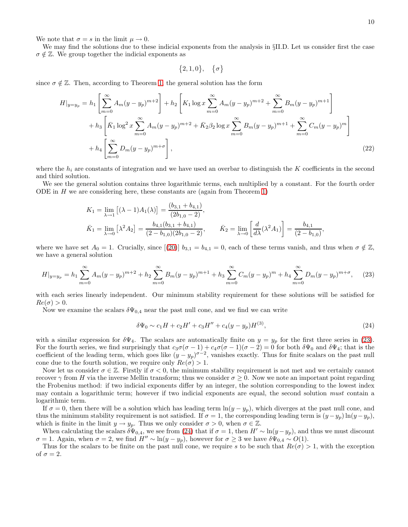We note that  $\sigma = s$  in the limit  $\mu \to 0$ .

We may find the solutions due to these indicial exponents from the analysis in §II.D. Let us consider first the case  $\sigma \notin \mathbb{Z}$ . We group together the indicial exponents as

$$
\{2,1,0\},\quad \{\sigma\}
$$

since  $\sigma \notin \mathbb{Z}$ . Then, according to Theorem [1,](#page-5-2) the general solution has the form

$$
H|_{y=y_p} = h_1 \left[ \sum_{m=0}^{\infty} A_m (y - y_p)^{m+2} \right] + h_2 \left[ K_1 \log x \sum_{m=0}^{\infty} A_m (y - y_p)^{m+2} + \sum_{m=0}^{\infty} B_m (y - y_p)^{m+1} \right] + h_3 \left[ \bar{K}_1 \log^2 x \sum_{m=0}^{\infty} A_m (y - y_p)^{m+2} + \bar{K}_2 \beta_2 \log x \sum_{m=0}^{\infty} B_m (y - y_p)^{m+1} + \sum_{m=0}^{\infty} C_m (y - y_p)^m \right] + h_4 \left[ \sum_{m=0}^{\infty} D_m (y - y_p)^{m+\sigma} \right],
$$
(22)

where the  $h_i$  are constants of integration and we have used an overbar to distinguish the K coefficients in the second and third solution.

We see the general solution contains three logarithmic terms, each multiplied by a constant. For the fourth order ODE in H we are considering here, these constants are (again from Theorem [1\)](#page-5-2)

$$
K_1 = \lim_{\lambda \to 1} \left[ (\lambda - 1) A_1(\lambda) \right] = \frac{(b_{3,1} + b_{4,1})}{(2b_{1,0} - 2)},
$$
  
\n
$$
\bar{K}_1 = \lim_{\lambda \to 0} \left[ \lambda^2 A_2 \right] = \frac{b_{4,1}(b_{3,1} + b_{4,1})}{(2 - b_{1,0})(2b_{1,0} - 2)}, \qquad \bar{K}_2 = \lim_{\lambda \to 0} \left[ \frac{d}{d\lambda} (\lambda^2 A_1) \right] = \frac{b_{4,1}}{(2 - b_{1,0})},
$$

where we have set  $A_0 = 1$ . Crucially, since  $[(20)] b_{3,1} = b_{4,1} = 0$  $[(20)] b_{3,1} = b_{4,1} = 0$  $[(20)] b_{3,1} = b_{4,1} = 0$ , each of these terms vanish, and thus when  $\sigma \notin \mathbb{Z}$ , we have a general solution

<span id="page-9-0"></span>
$$
H|_{y=y_p} = h_1 \sum_{m=0}^{\infty} A_m (y - y_p)^{m+2} + h_2 \sum_{m=0}^{\infty} B_m (y - y_p)^{m+1} + h_3 \sum_{m=0}^{\infty} C_m (y - y_p)^m + h_4 \sum_{m=0}^{\infty} D_m (y - y_p)^{m+\sigma}, \quad (23)
$$

with each series linearly independent. Our minimum stability requirement for these solutions will be satisfied for  $Re(\sigma) > 0.$ 

Now we examine the scalars  $\delta\Psi_{0,4}$  near the past null cone, and we find we can write

<span id="page-9-1"></span>
$$
\delta\Psi_0 \sim c_1 H + c_2 H' + c_3 H'' + c_4 (y - y_p) H^{(3)},\tag{24}
$$

with a similar expression for  $\delta\Psi_4$ . The scalars are automatically finite on  $y = y_p$  for the first three series in [\(23\)](#page-9-0). For the fourth series, we find surprisingly that  $c_3\sigma(\sigma-1) + c_4\sigma(\sigma-1)(\sigma-2) = 0$  for both  $\delta\Psi_0$  and  $\delta\Psi_4$ ; that is the coefficient of the leading term, which goes like  $(y - y_p)^{\sigma-2}$ , vanishes exactly. Thus for finite scalars on the past null cone due to the fourth solution, we require only  $Re(\sigma) > 1$ .

Now let us consider  $\sigma \in \mathbb{Z}$ . Firstly if  $\sigma < 0$ , the minimum stability requirement is not met and we certainly cannot recover  $\gamma$  from H via the inverse Mellin transform; thus we consider  $\sigma > 0$ . Now we note an important point regarding the Frobenius method: if two indicial exponents differ by an integer, the solution corresponding to the lowest index may contain a logarithmic term; however if two indicial exponents are equal, the second solution must contain a logarithmic term.

If  $\sigma = 0$ , then there will be a solution which has leading term  $\ln(y - y_p)$ , which diverges at the past null cone, and thus the minimum stability requirement is not satisfied. If  $\sigma = 1$ , the corresponding leading term is  $(y - y_p) \ln(y - y_p)$ , which is finite in the limit  $y \to y_p$ . Thus we only consider  $\sigma > 0$ , when  $\sigma \in \mathbb{Z}$ .

When calculating the scalars  $\delta\Psi_{0,4}$ , we see from [\(24\)](#page-9-1) that if  $\sigma=1$ , then  $H'\sim \ln(y-y_p)$ , and thus we must discount  $σ = 1$ . Again, when  $σ = 2$ , we find  $H'' \sim \ln(y - y_p)$ , however for  $σ ≥ 3$  we have  $δ\Psi_{0,4} \sim O(1)$ .

Thus for the scalars to be finite on the past null cone, we require s to be such that  $Re(\sigma) > 1$ , with the exception of  $\sigma = 2$ .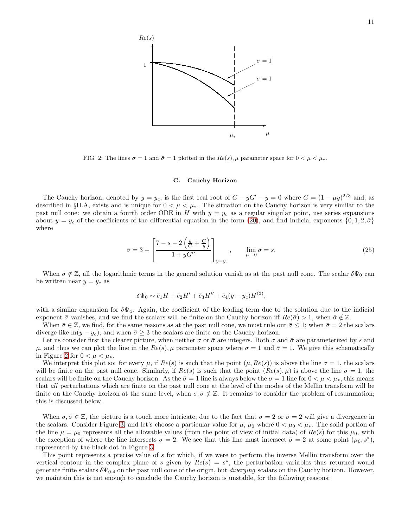

<span id="page-10-0"></span>FIG. 2: The lines  $\sigma = 1$  and  $\bar{\sigma} = 1$  plotted in the  $Re(s)$ ,  $\mu$  parameter space for  $0 \leq \mu \leq \mu_*$ .

### C. Cauchy Horizon

The Cauchy horizon, denoted by  $y = y_c$ , is the first real root of  $G - yG' - y = 0$  where  $G = (1 - \mu y)^{2/3}$  and, as described in §II.A, exists and is unique for  $0 < \mu < \mu_*$ . The situation on the Cauchy horizon is very similar to the past null cone: we obtain a fourth order ODE in H with  $y = y_c$  as a regular singular point, use series expansions about  $y = y_c$  of the coefficients of the differential equation in the form [\(20\)](#page-8-0), and find indicial exponents  $\{0, 1, 2, \bar{\sigma}\}\$ where

<span id="page-10-1"></span>
$$
\bar{\sigma} = 3 - \left[ \frac{7 - s - 2\left(\frac{y}{G} + \frac{G}{y}\right)}{1 + yG''} \right]_{y=y_c}, \qquad \lim_{\mu \to 0} \bar{\sigma} = s.
$$
\n(25)

When  $\bar{\sigma} \notin \mathbb{Z}$ , all the logarithmic terms in the general solution vanish as at the past null cone. The scalar  $\delta\Psi_0$  can be written near  $y = y_c$  as

$$
\delta\Psi_0 \sim \bar{c}_1 H + \bar{c}_2 H' + \bar{c}_3 H'' + \bar{c}_4 (y - y_c) H^{(3)},
$$

with a similar expansion for  $\delta\Psi_4$ . Again, the coefficient of the leading term due to the solution due to the indicial exponent  $\bar{\sigma}$  vanishes, and we find the scalars will be finite on the Cauchy horizon iff  $Re(\bar{\sigma}) > 1$ , when  $\bar{\sigma} \notin \mathbb{Z}$ .

When  $\bar{\sigma} \in \mathbb{Z}$ , we find, for the same reasons as at the past null cone, we must rule out  $\bar{\sigma} \leq 1$ ; when  $\bar{\sigma} = 2$  the scalars diverge like  $ln(y - y_c)$ ; and when  $\bar{\sigma} \geq 3$  the scalars are finite on the Cauchy horizon.

Let us consider first the clearer picture, when neither  $\sigma$  or  $\bar{\sigma}$  are integers. Both  $\sigma$  and  $\bar{\sigma}$  are parameterized by s and  $\mu$ , and thus we can plot the line in the  $Re(s)$ ,  $\mu$  parameter space where  $\sigma = 1$  and  $\bar{\sigma} = 1$ . We give this schematically in Figure [2](#page-10-0) for  $0 < \mu < \mu_*$ .

We interpret this plot so: for every  $\mu$ , if  $Re(s)$  is such that the point  $(\mu, Re(s))$  is above the line  $\sigma = 1$ , the scalars will be finite on the past null cone. Similarly, if  $Re(s)$  is such that the point  $(Re(s), \mu)$  is above the line  $\bar{\sigma} = 1$ , the scalars will be finite on the Cauchy horizon. As the  $\bar{\sigma} = 1$  line is always below the  $\sigma = 1$  line for  $0 < \mu < \mu_*$ , this means that all perturbations which are finite on the past null cone at the level of the modes of the Mellin transform will be finite on the Cauchy horizon at the same level, when  $\sigma, \bar{\sigma} \notin \mathbb{Z}$ . It remains to consider the problem of resummation; this is discussed below.

When  $\sigma, \bar{\sigma} \in \mathbb{Z}$ , the picture is a touch more intricate, due to the fact that  $\sigma = 2$  or  $\bar{\sigma} = 2$  will give a divergence in the scalars. Consider Figure [3,](#page-11-0) and let's choose a particular value for  $\mu$ ,  $\mu_0$  where  $0 < \mu_0 < \mu_*$ . The solid portion of the line  $\mu = \mu_0$  represents all the allowable values (from the point of view of initial data) of  $Re(s)$  for this  $\mu_0$ , with the exception of where the line intersects  $\sigma = 2$ . We see that this line must intersect  $\bar{\sigma} = 2$  at some point  $(\mu_0, s^*)$ , represented by the black dot in Figure [3.](#page-11-0)

This point represents a precise value of s for which, if we were to perform the inverse Mellin transform over the vertical contour in the complex plane of s given by  $Re(s) = s^*$ , the perturbation variables thus returned would generate finite scalars  $\delta\Psi_{0,4}$  on the past null cone of the origin, but *diverging* scalars on the Cauchy horizon. However, we maintain this is not enough to conclude the Cauchy horizon is unstable, for the following reasons: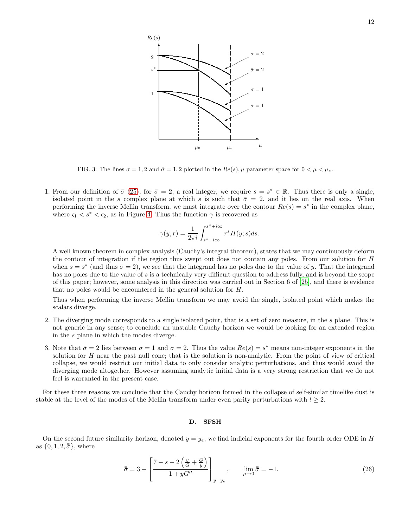$\rightarrow$ 

✟✟  $\vec{\sigma} = 1$ ✟✟

 $\mu$ 

<span id="page-11-0"></span>FIG. 3: The lines  $\sigma = 1, 2$  and  $\bar{\sigma} = 1, 2$  plotted in the  $Re(s), \mu$  parameter space for  $0 < \mu < \mu_*$ .

 $\mu_0$ 

 $\mu_*$ 

✟✟✙

✻

 $\overrightarrow{s}$  +  $\longrightarrow$ 

 $Re(s)$ 

2

 $s^*$ 

1

1. From our definition of  $\bar{\sigma}$  [\(25\)](#page-10-1), for  $\bar{\sigma} = 2$ , a real integer, we require  $s = s^* \in \mathbb{R}$ . Thus there is only a single, isolated point in the s complex plane at which s is such that  $\bar{\sigma} = 2$ , and it lies on the real axis. When performing the inverse Mellin transform, we must integrate over the contour  $Re(s) = s^*$  in the complex plane, where  $\varsigma_1 < s^* < \varsigma_2$ , as in Figure [4.](#page-12-0) Thus the function  $\gamma$  is recovered as

$$
\gamma(y,r)=\frac{1}{2\pi i}\int_{s^*-i\infty}^{s^*+i\infty}r^sH(y;s)ds.
$$

A well known theorem in complex analysis (Cauchy's integral theorem), states that we may continuously deform the contour of integration if the region thus swept out does not contain any poles. From our solution for H when  $s = s^*$  (and thus  $\bar{\sigma} = 2$ ), we see that the integrand has no poles due to the value of y. That the integrand has no poles due to the value of s is a technically very difficult question to address fully, and is beyond the scope of this paper; however, some analysis in this direction was carried out in Section 6 of [\[25](#page-15-12)], and there is evidence that no poles would be encountered in the general solution for H.

Thus when performing the inverse Mellin transform we may avoid the single, isolated point which makes the scalars diverge.

- 2. The diverging mode corresponds to a single isolated point, that is a set of zero measure, in the s plane. This is not generic in any sense; to conclude an unstable Cauchy horizon we would be looking for an extended region in the s plane in which the modes diverge.
- 3. Note that  $\bar{\sigma} = 2$  lies between  $\sigma = 1$  and  $\sigma = 2$ . Thus the value  $Re(s) = s^*$  means non-integer exponents in the solution for H near the past null cone; that is the solution is non-analytic. From the point of view of critical collapse, we would restrict our initial data to only consider analytic perturbations, and thus would avoid the diverging mode altogether. However assuming analytic initial data is a very strong restriction that we do not feel is warranted in the present case.

For these three reasons we conclude that the Cauchy horizon formed in the collapse of self-similar timelike dust is stable at the level of the modes of the Mellin transform under even parity perturbations with  $l \geq 2$ .

# D. SFSH

On the second future similarity horizon, denoted  $y = y_e$ , we find indicial exponents for the fourth order ODE in H as  $\{0, 1, 2, \bar{\sigma}\}\$ , where

$$
\bar{\bar{\sigma}} = 3 - \left[ \frac{7 - s - 2\left(\frac{y}{G} + \frac{G}{y}\right)}{1 + yG''} \right]_{y=y_e}, \qquad \lim_{\mu \to 0} \bar{\bar{\sigma}} = -1.
$$
\n(26)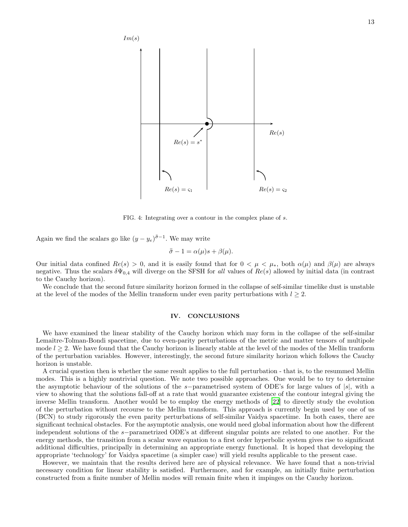

<span id="page-12-0"></span>FIG. 4: Integrating over a contour in the complex plane of s.

Again we find the scalars go like  $(y - y_e)^{\bar{\bar{\sigma}} - 1}$ . We may write

$$
\bar{\bar{\sigma}} - 1 = \alpha(\mu)s + \beta(\mu).
$$

Our initial data confined  $Re(s) > 0$ , and it is easily found that for  $0 < \mu < \mu_*$ , both  $\alpha(\mu)$  and  $\beta(\mu)$  are always negative. Thus the scalars  $\delta\Psi_{0,4}$  will diverge on the SFSH for all values of  $Re(s)$  allowed by initial data (in contrast to the Cauchy horizon).

We conclude that the second future similarity horizon formed in the collapse of self-similar timelike dust is unstable at the level of the modes of the Mellin transform under even parity perturbations with  $l \geq 2$ .

## IV. CONCLUSIONS

We have examined the linear stability of the Cauchy horizon which may form in the collapse of the self-similar Lemaître-Tolman-Bondi spacetime, due to even-parity perturbations of the metric and matter tensors of multipole mode  $l \geq 2$ . We have found that the Cauchy horizon is linearly stable at the level of the modes of the Mellin tranform of the perturbation variables. However, interestingly, the second future similarity horizon which follows the Cauchy horizon is unstable.

A crucial question then is whether the same result applies to the full perturbation - that is, to the resummed Mellin modes. This is a highly nontrivial question. We note two possible approaches. One would be to try to determine the asymptotic behaviour of the solutions of the s−parametrised system of ODE's for large values of |s|, with a view to showing that the solutions fall-off at a rate that would guarantee existence of the contour integral giving the inverse Mellin transform. Another would be to employ the energy methods of [\[22](#page-15-11)] to directly study the evolution of the perturbation without recourse to the Mellin transform. This approach is currently begin used by one of us (BCN) to study rigorously the even parity perturbations of self-similar Vaidya spacetime. In both cases, there are significant technical obstacles. For the asymptotic analysis, one would need global information about how the different independent solutions of the s−parametrized ODE's at different singular points are related to one another. For the energy methods, the transition from a scalar wave equation to a first order hyperbolic system gives rise to significant additional difficulties, principally in determining an appropriate energy functional. It is hoped that developing the appropriate 'technology' for Vaidya spacetime (a simpler case) will yield results applicable to the present case.

However, we maintain that the results derived here are of physical relevance. We have found that a non-trivial necessary condition for linear stability is satisfied. Furthermore, and for example, an initially finite perturbation constructed from a finite number of Mellin modes will remain finite when it impinges on the Cauchy horizon.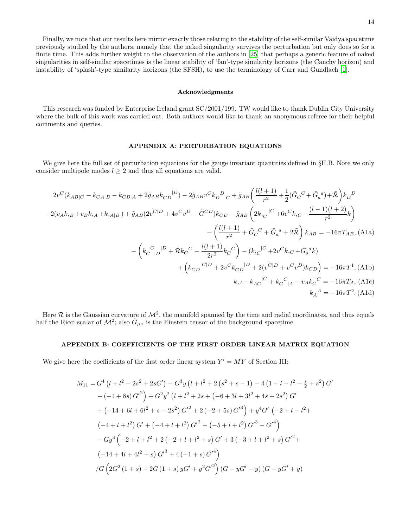Finally, we note that our results here mirror exactly those relating to the stability of the self-similar Vaidya spacetime previously studied by the authors, namely that the naked singularity survives the perturbation but only does so for a finite time. This adds further weight to the observation of the authors in [\[25\]](#page-15-12) that perhaps a generic feature of naked singularities in self-similar spacetimes is the linear stability of 'fan'-type similarity horizons (the Cauchy horizon) and instability of 'splash'-type similarity horizons (the SFSH), to use the terminology of Carr and Gundlach [\[1\]](#page-15-29).

### Acknowledgments

This research was funded by Enterprise Ireland grant SC/2001/199. TW would like to thank Dublin City University where the bulk of this work was carried out. Both authors would like to thank an anonymous referee for their helpful comments and queries.

# APPENDIX A: PERTURBATION EQUATIONS

We give here the full set of perturbation equations for the gauge invariant quantities defined in §II.B. Note we only consider multipole modes  $l \geq 2$  and thus all equations are valid.

<span id="page-13-0"></span>
$$
2v^{C}(k_{AB|C} - k_{CA|B} - k_{CB|A} + 2\tilde{g}_{AB}k_{CD}|^{D}) - 2\tilde{g}_{AB}v^{C}k_{D}{}^{D}_{|C} + \tilde{g}_{AB}\left(\frac{l(l+1)}{r^{2}} + \frac{1}{2}(\tilde{G}_{C}{}^{C} + \tilde{G}_{a}{}^{a}) + \tilde{\mathcal{R}}\right)k_{D}{}^{D}
$$
  
+2(v<sub>A</sub>k, <sub>B</sub> + v<sub>B</sub>k, <sub>A</sub> + k, <sub>A|B</sub>) +  $\tilde{g}_{AB}(2v^{C|D} + 4v^{C}v^{D} - \tilde{G}^{CD})k_{CD} - \tilde{g}_{AB}\left(2k_{,C}{}^{|C} + 6v^{C}k_{,C} - \frac{(l-1)(l+2)}{r^{2}}k\right)$   
-
$$
\left(\frac{l(l+1)}{r^{2}} + \tilde{G}_{C}{}^{C} + \tilde{G}_{a}{}^{a} + 2\tilde{\mathcal{R}}\right)k_{AB} = -16\pi T_{AB}, \text{(A1a)}
$$

$$
-\left(k_{C}{}^{|D} + \tilde{\mathcal{R}}k_{C}{}^{C} - \frac{l(l+1)}{2r^{2}}k_{C}{}^{C}\right) - (k_{,C}{}^{|C} + 2v^{C}k_{,C} + \tilde{G}_{a}{}^{a}k)
$$

$$
+ \left(k_{CD}{}^{|C|D} + 2v^{C}k_{CD}{}^{|D} + 2(v^{C|D} + v^{C}v^{D})k_{CD}\right) = -16\pi T^{1}, \text{(A1b)}
$$

$$
k_{,A} - k_{AC}{}^{|C} + k_{C}{}^{C}{}_{|A} - v_{A}k_{C}{}^{C} = -16\pi T_{A}, \text{(A1c)}
$$

$$
k_{A}{}^{A} = -16\pi T^{2}. \text{(A1d)}
$$

Here R is the Gaussian curvature of  $\mathcal{M}^2$ , the manifold spanned by the time and radial coordinates, and thus equals half the Ricci scalar of  $\mathcal{M}^2$ ; also  $\tilde{G}_{\mu\nu}$  is the Einstein tensor of the background spacetime.

# APPENDIX B: COEFFICIENTS OF THE FIRST ORDER LINEAR MATRIX EQUATION

We give here the coefficients of the first order linear system  $Y' = MY$  of Section III:

$$
M_{11} = G^{4} (l + l^{2} - 2s^{2} + 2sG') - G^{3}y (l + l^{2} + 2 (s^{2} + s - 1) - 4 (1 - l - l^{2} - \frac{s}{2} + s^{2}) G'
$$
  
+  $(-1 + 8s) G'^{2}) + G^{2}y^{2} (l + l^{2} + 2s + (-6 + 3l + 3l^{2} + 4s + 2s^{2}) G'$   
+  $(-14 + 6l + 6l^{2} + s - 2s^{2}) G'^{2} + 2 (-2 + 5s) G'^{3}) + y^{4} G' (-2 + l + l^{2} +$   
 $(-4 + l + l^{2}) G' + (-4 + l + l^{2}) G'^{2} + (-5 + l + l^{2}) G'^{3} - G'^{4})$   
-  $Gy^{3} (-2 + l + l^{2} + 2 (-2 + l + l^{2} + s) G' + 3 (-3 + l + l^{2} + s) G'^{2} +$   
 $(-14 + 4l + 4l^{2} - s) G'^{3} + 4 (-1 + s) G'^{4})$   
 $\angle G (2G^{2} (1 + s) - 2G (1 + s) yG' + y^{2} G'^{2}) (G - yG' - y) (G - yG' + y)$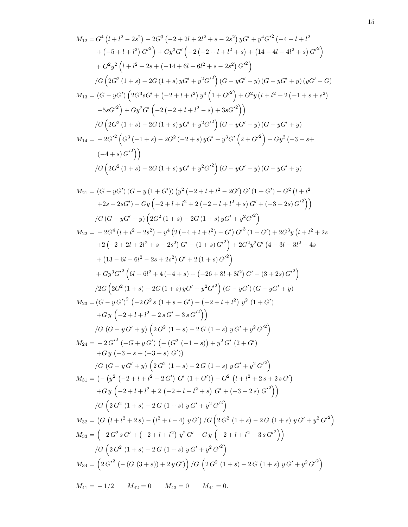$$
\begin{split} M_{12}=&G^{4}\left(l+l^{2}-2s^{2}\right)-2G^{3}\left(-2+2l+2l^{2}+s-2s^{2}\right) yG^{2}+y^{4}G^{2}\left(-4+l+l^{2}+(-5+l+l^{2})^{2}\right) \\ &+(-5+l+l^{2})\,G^{2}\right)+Gy^{3}G^{2}\left(-2\left(-2+l+l^{2}+s\right)+\left(14-4l-4l^{2}+s\right)\,G^{2}\right) \\ &+G^{2}y^{2}\left(l+l^{2}+2s+(-14+6l+6l^{2}+s-2s^{2})\,G^{2}\right) \\ &/ G\left(2G^{2}\left(1+s\right)-2G\left(1+s\right)yG^{2}+y^{2}G^{2}\right)\left(G-yG^{2}-y\right)\left(G-yG^{2}+y\right)\left(yG^{2}-G\right) \\ &-5sG^{2}\right)+Gy^{2}G^{2}\left(-2\left(-2+l+l^{2}\right)s^{3}\left(1+G^{2}\right)+G^{2}y\left(l+l^{2}+2\left(-1+s+s^{2}\right)\right) \\ &-5sG^{2}\right)+Gy^{2}G^{2}\left(-2\left(-2+l+l^{2}-s\right)+3sG^{2}\right)\right) \\ &/ G\left(2G^{2}\left(1+s\right)-2G\left(1+s\right)yG^{2}+y^{2}G^{2}\right)\left(G-yG^{2}-y\right)\left(G-yG^{2}+y\right) \\ &M_{14}=-2G^{2}\left(G^{3}\left(-1+s\right)-2G^{2}\left(-2+s\right)yG^{2}+y^{3}G^{2}\right)\left(G-yG^{2}-y\right)\left(G-yG^{2}+y\right) \\ &+2K_{12}=-2G^{2}\left(G^{3}\left(-1+s\right)-2G^{2}\left(-2+s\right)yG^{2}+y^{3}G^{2}\right)\left(G-yG^{2}+y\right) \\ &+2s+2sG^{2}\right)-Gy\left(-2+l+l^{2}+2\left(-2+l+l^{2}+s\right)\,G^{2}\left(1+s^{2}\right)+G^{2}\left(l+l^{2}+2s+2sG^{2}\right)-Gy\left(2-4+l+l^{2}+2\left(-2+l+l^{2}+s\right)\,G^{2}\left(1+s^{2}\right)\right) \\ &/ G\left(G-yG^{2}+y\right)\left(2G^{2}\
$$

 $M_{41} = -1/2$   $M_{42} = 0$   $M_{43} = 0$   $M_{44} = 0$ .